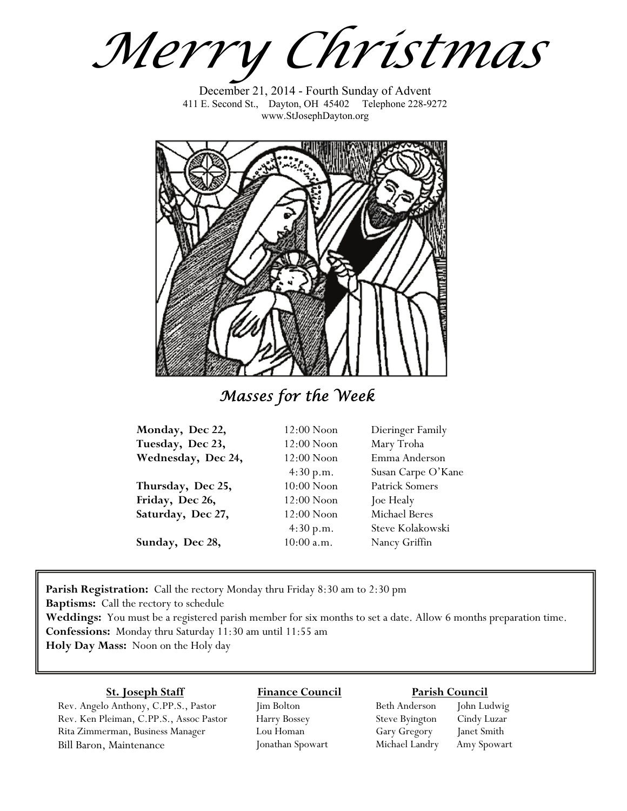*Merry Christmas*

December 21, 2014 - Fourth Sunday of Advent 411 E. Second St., Dayton, OH 45402 Telephone 228-9272 www.StJosephDayton.org



*Masses for the Week* 

| Monday, Dec 22,    | 12:00 Noon   | Dieringer Family      |
|--------------------|--------------|-----------------------|
| Tuesday, Dec 23,   | 12:00 Noon   | Mary Troha            |
| Wednesday, Dec 24, | 12:00 Noon   | Emma Anderson         |
|                    | 4:30 p.m.    | Susan Carpe O'Kane    |
| Thursday, Dec 25,  | $10:00$ Noon | <b>Patrick Somers</b> |
| Friday, Dec 26,    | 12:00 Noon   | Joe Healy             |
| Saturday, Dec 27,  | 12:00 Noon   | Michael Beres         |
|                    | 4:30 p.m.    | Steve Kolakowski      |
| Sunday, Dec 28,    | $10:00$ a.m. | Nancy Griffin         |

**Parish Registration:** Call the rectory Monday thru Friday 8:30 am to 2:30 pm **Baptisms:** Call the rectory to schedule

**Weddings:** You must be a registered parish member for six months to set a date. Allow 6 months preparation time. **Confessions:** Monday thru Saturday 11:30 am until 11:55 am **Holy Day Mass:** Noon on the Holy day

### **St. Joseph Staff**

Rev. Angelo Anthony, C.PP.S., Pastor Rev. Ken Pleiman, C.PP.S., Assoc Pastor Rita Zimmerman, Business Manager Bill Baron, Maintenance

## **Finance Council**

Jim Bolton Harry Bossey Lou Homan Jonathan Spowart

### **Parish Council**

Beth Anderson John Ludwig Steve Byington Cindy Luzar Gary Gregory Janet Smith Michael Landry Amy Spowart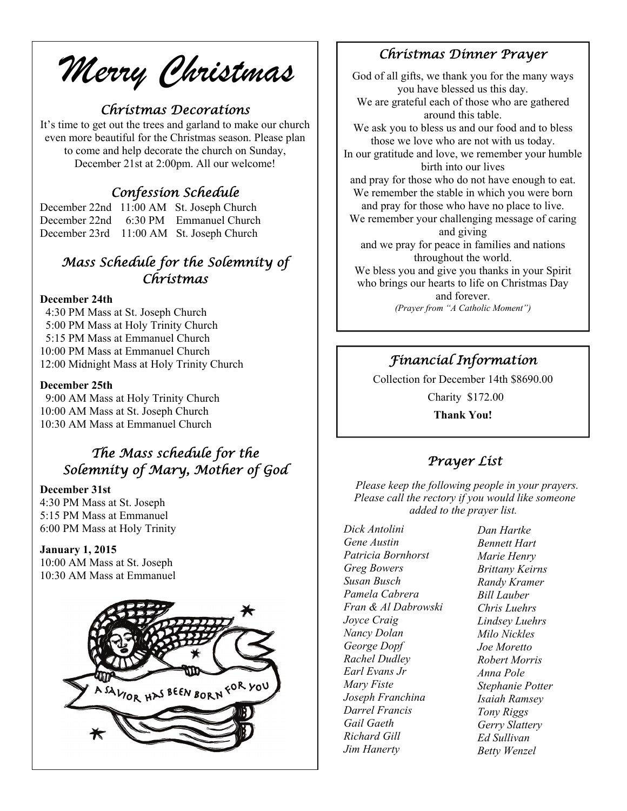*Merry Christmas* 

### *Christmas Decorations*

It's time to get out the trees and garland to make our church even more beautiful for the Christmas season. Please plan to come and help decorate the church on Sunday, December 21st at 2:00pm. All our welcome!

## *Confession Schedule*

December 22nd 11:00 AM St. Joseph Church December 22nd 6:30 PM Emmanuel Church December 23rd 11:00 AM St. Joseph Church

## *Mass Schedule for the Solemnity of Christmas*

### **December 24th**

 4:30 PM Mass at St. Joseph Church 5:00 PM Mass at Holy Trinity Church 5:15 PM Mass at Emmanuel Church 10:00 PM Mass at Emmanuel Church 12:00 Midnight Mass at Holy Trinity Church

#### **December 25th**

 9:00 AM Mass at Holy Trinity Church 10:00 AM Mass at St. Joseph Church 10:30 AM Mass at Emmanuel Church

# *The Mass schedule for the Solemnity of Mary, Mother of God*

### **December 31st**

4:30 PM Mass at St. Joseph 5:15 PM Mass at Emmanuel 6:00 PM Mass at Holy Trinity

### **January 1, 2015**

10:00 AM Mass at St. Joseph 10:30 AM Mass at Emmanuel



### *Christmas Dinner Prayer*

God of all gifts, we thank you for the many ways you have blessed us this day. We are grateful each of those who are gathered around this table. We ask you to bless us and our food and to bless those we love who are not with us today. In our gratitude and love, we remember your humble birth into our lives and pray for those who do not have enough to eat. We remember the stable in which you were born and pray for those who have no place to live. We remember your challenging message of caring and giving and we pray for peace in families and nations throughout the world. We bless you and give you thanks in your Spirit who brings our hearts to life on Christmas Day and forever. *(Prayer from "A Catholic Moment")* 

# *Financial Information*

Collection for December 14th \$8690.00 Charity \$172.00

**Thank You!** 

## *Prayer List*

 *Please keep the following people in your prayers. Please call the rectory if you would like someone added to the prayer list.* 

*Dick Antolini Gene Austin Patricia Bornhorst Greg Bowers Susan Busch Pamela Cabrera Fran & Al Dabrowski Joyce Craig Nancy Dolan George Dopf Rachel Dudley Earl Evans Jr Mary Fiste Joseph Franchina Darrel Francis Gail Gaeth Richard Gill Jim Hanerty* 

*Dan Hartke Bennett Hart Marie Henry Brittany Keirns Randy Kramer Bill Lauber Chris Luehrs Lindsey Luehrs Milo Nickles Joe Moretto Robert Morris Anna Pole Stephanie Potter Isaiah Ramsey Tony Riggs Gerry Slattery Ed Sullivan Betty Wenzel*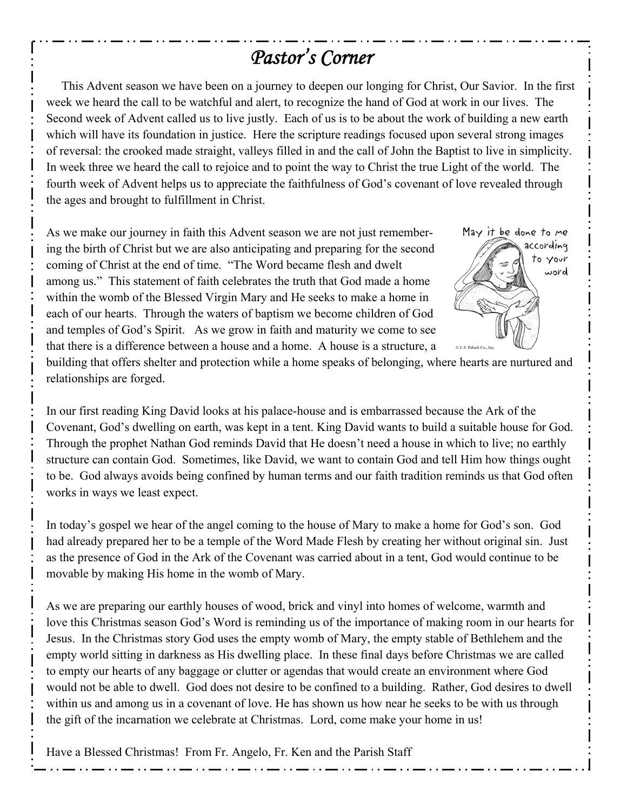# *Pastor's Corner*

 This Advent season we have been on a journey to deepen our longing for Christ, Our Savior. In the first week we heard the call to be watchful and alert, to recognize the hand of God at work in our lives. The Second week of Advent called us to live justly. Each of us is to be about the work of building a new earth which will have its foundation in justice. Here the scripture readings focused upon several strong images of reversal: the crooked made straight, valleys filled in and the call of John the Baptist to live in simplicity. In week three we heard the call to rejoice and to point the way to Christ the true Light of the world. The fourth week of Advent helps us to appreciate the faithfulness of God's covenant of love revealed through the ages and brought to fulfillment in Christ.

As we make our journey in faith this Advent season we are not just remembering the birth of Christ but we are also anticipating and preparing for the second coming of Christ at the end of time. "The Word became flesh and dwelt among us." This statement of faith celebrates the truth that God made a home within the womb of the Blessed Virgin Mary and He seeks to make a home in each of our hearts. Through the waters of baptism we become children of God and temples of God's Spirit. As we grow in faith and maturity we come to see that there is a difference between a house and a home. A house is a structure, a



building that offers shelter and protection while a home speaks of belonging, where hearts are nurtured and relationships are forged.

In our first reading King David looks at his palace-house and is embarrassed because the Ark of the Covenant, God's dwelling on earth, was kept in a tent. King David wants to build a suitable house for God. Through the prophet Nathan God reminds David that He doesn't need a house in which to live; no earthly structure can contain God. Sometimes, like David, we want to contain God and tell Him how things ought to be. God always avoids being confined by human terms and our faith tradition reminds us that God often works in ways we least expect.

In today's gospel we hear of the angel coming to the house of Mary to make a home for God's son. God had already prepared her to be a temple of the Word Made Flesh by creating her without original sin. Just as the presence of God in the Ark of the Covenant was carried about in a tent, God would continue to be movable by making His home in the womb of Mary.

As we are preparing our earthly houses of wood, brick and vinyl into homes of welcome, warmth and love this Christmas season God's Word is reminding us of the importance of making room in our hearts for Jesus. In the Christmas story God uses the empty womb of Mary, the empty stable of Bethlehem and the empty world sitting in darkness as His dwelling place. In these final days before Christmas we are called to empty our hearts of any baggage or clutter or agendas that would create an environment where God would not be able to dwell. God does not desire to be confined to a building. Rather, God desires to dwell within us and among us in a covenant of love. He has shown us how near he seeks to be with us through the gift of the incarnation we celebrate at Christmas. Lord, come make your home in us!

Have a Blessed Christmas! From Fr. Angelo, Fr. Ken and the Parish Staff